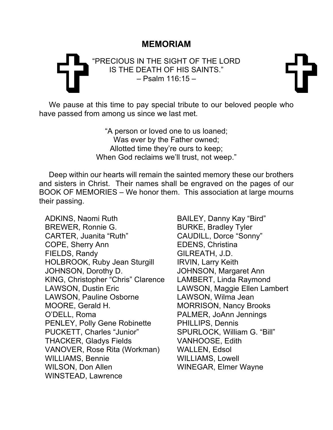## **MEMORIAM**

## FRECIOUS IN THE SIGHT OF THE LORD<br>IS THE DEATH OF HIS SAINTS."<br>Psalm 116:15 – "PRECIOUS IN THE SIGHT OF THE LORD IS THE DEATH OF HIS SAINTS." – Psalm 116:15 –

We pause at this time to pay special tribute to our beloved people who have passed from among us since we last met.

> "A person or loved one to us loaned; Was ever by the Father owned; Allotted time they're ours to keep; When God reclaims we'll trust, not weep."

Deep within our hearts will remain the sainted memory these our brothers and sisters in Christ. Their names shall be engraved on the pages of our BOOK OF MEMORIES – We honor them. This association at large mourns their passing.

ADKINS, Naomi Ruth BAILEY, Danny Kay "Bird" BREWER, Ronnie G. BURKE, Bradley Tyler CARTER, Juanita "Ruth" CAUDILL, Dorce "Sonny" COPE, Sherry Ann **EDENS**, Christina FIELDS, Randy GILREATH, J.D. HOLBROOK, Ruby Jean Sturgill IRVIN, Larry Keith JOHNSON, Dorothy D. JOHNSON, Margaret Ann KING, Christopher "Chris" Clarence LAMBERT, Linda Raymond LAWSON, Dustin Eric LAWSON, Maggie Ellen Lambert LAWSON, Pauline Osborne LAWSON, Wilma Jean MOORE, Gerald H. MORRISON, Nancy Brooks O'DELL, Roma PALMER, JoAnn Jennings PENLEY, Polly Gene Robinette PHILLIPS, Dennis PUCKETT, Charles "Junior" SPURLOCK, William G. "Bill" THACKER, Gladys Fields VANHOOSE, Edith VANOVER, Rose Rita (Workman) WALLEN, Edsol WILLIAMS, Bennie WILLIAMS, Lowell WILSON, Don Allen WINEGAR, Elmer Wayne WINSTEAD, Lawrence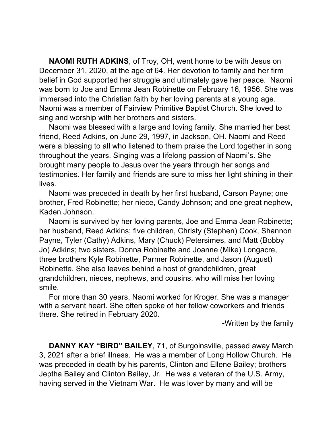**NAOMI RUTH ADKINS**, of Troy, OH, went home to be with Jesus on December 31, 2020, at the age of 64. Her devotion to family and her firm belief in God supported her struggle and ultimately gave her peace. Naomi was born to Joe and Emma Jean Robinette on February 16, 1956. She was immersed into the Christian faith by her loving parents at a young age. Naomi was a member of Fairview Primitive Baptist Church. She loved to sing and worship with her brothers and sisters.

Naomi was blessed with a large and loving family. She married her best friend, Reed Adkins, on June 29, 1997, in Jackson, OH. Naomi and Reed were a blessing to all who listened to them praise the Lord together in song throughout the years. Singing was a lifelong passion of Naomi's. She brought many people to Jesus over the years through her songs and testimonies. Her family and friends are sure to miss her light shining in their lives.

Naomi was preceded in death by her first husband, Carson Payne; one brother, Fred Robinette; her niece, Candy Johnson; and one great nephew, Kaden Johnson.

Naomi is survived by her loving parents, Joe and Emma Jean Robinette; her husband, Reed Adkins; five children, Christy (Stephen) Cook, Shannon Payne, Tyler (Cathy) Adkins, Mary (Chuck) Petersimes, and Matt (Bobby Jo) Adkins; two sisters, Donna Robinette and Joanne (Mike) Longacre, three brothers Kyle Robinette, Parmer Robinette, and Jason (August) Robinette. She also leaves behind a host of grandchildren, great grandchildren, nieces, nephews, and cousins, who will miss her loving smile.

For more than 30 years, Naomi worked for Kroger. She was a manager with a servant heart. She often spoke of her fellow coworkers and friends there. She retired in February 2020.

-Written by the family

**DANNY KAY "BIRD" BAILEY**, 71, of Surgoinsville, passed away March 3, 2021 after a brief illness. He was a member of Long Hollow Church. He was preceded in death by his parents, Clinton and Ellene Bailey; brothers Jeptha Bailey and Clinton Bailey, Jr. He was a veteran of the U.S. Army, having served in the Vietnam War. He was lover by many and will be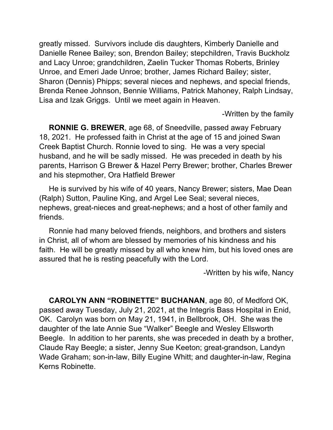greatly missed. Survivors include dis daughters, Kimberly Danielle and Danielle Renee Bailey; son, Brendon Bailey; stepchildren, Travis Buckholz and Lacy Unroe; grandchildren, Zaelin Tucker Thomas Roberts, Brinley Unroe, and Emeri Jade Unroe; brother, James Richard Bailey; sister, Sharon (Dennis) Phipps; several nieces and nephews, and special friends, Brenda Renee Johnson, Bennie Williams, Patrick Mahoney, Ralph Lindsay, Lisa and Izak Griggs. Until we meet again in Heaven.

-Written by the family

**RONNIE G. BREWER**, age 68, of Sneedville, passed away February 18, 2021. He professed faith in Christ at the age of 15 and joined Swan Creek Baptist Church. Ronnie loved to sing. He was a very special husband, and he will be sadly missed. He was preceded in death by his parents, Harrison G Brewer & Hazel Perry Brewer; brother, Charles Brewer and his stepmother, Ora Hatfield Brewer

He is survived by his wife of 40 years, Nancy Brewer; sisters, Mae Dean (Ralph) Sutton, Pauline King, and Argel Lee Seal; several nieces, nephews, great-nieces and great-nephews; and a host of other family and friends.

Ronnie had many beloved friends, neighbors, and brothers and sisters in Christ, all of whom are blessed by memories of his kindness and his faith. He will be greatly missed by all who knew him, but his loved ones are assured that he is resting peacefully with the Lord.

-Written by his wife, Nancy

**CAROLYN ANN "ROBINETTE" BUCHANAN**, age 80, of Medford OK, passed away Tuesday, July 21, 2021, at the Integris Bass Hospital in Enid, OK. Carolyn was born on May 21, 1941, in Bellbrook, OH. She was the daughter of the late Annie Sue "Walker" Beegle and Wesley Ellsworth Beegle. In addition to her parents, she was preceded in death by a brother, Claude Ray Beegle; a sister, Jenny Sue Keeton; great-grandson, Landyn Wade Graham; son-in-law, Billy Eugine Whitt; and daughter-in-law, Regina Kerns Robinette.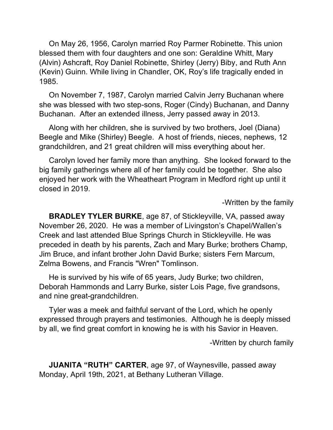On May 26, 1956, Carolyn married Roy Parmer Robinette. This union blessed them with four daughters and one son: Geraldine Whitt, Mary (Alvin) Ashcraft, Roy Daniel Robinette, Shirley (Jerry) Biby, and Ruth Ann (Kevin) Guinn. While living in Chandler, OK, Roy's life tragically ended in 1985.

On November 7, 1987, Carolyn married Calvin Jerry Buchanan where she was blessed with two step-sons, Roger (Cindy) Buchanan, and Danny Buchanan. After an extended illness, Jerry passed away in 2013.

Along with her children, she is survived by two brothers, Joel (Diana) Beegle and Mike (Shirley) Beegle. A host of friends, nieces, nephews, 12 grandchildren, and 21 great children will miss everything about her.

Carolyn loved her family more than anything. She looked forward to the big family gatherings where all of her family could be together. She also enjoyed her work with the Wheatheart Program in Medford right up until it closed in 2019.

-Written by the family

**BRADLEY TYLER BURKE**, age 87, of Stickleyville, VA, passed away November 26, 2020. He was a member of Livingston's Chapel/Wallen's Creek and last attended Blue Springs Church in Stickleyville. He was preceded in death by his parents, Zach and Mary Burke; brothers Champ, Jim Bruce, and infant brother John David Burke; sisters Fern Marcum, Zelma Bowens, and Francis "Wren" Tomlinson.

He is survived by his wife of 65 years, Judy Burke; two children, Deborah Hammonds and Larry Burke, sister Lois Page, five grandsons, and nine great-grandchildren.

Tyler was a meek and faithful servant of the Lord, which he openly expressed through prayers and testimonies. Although he is deeply missed by all, we find great comfort in knowing he is with his Savior in Heaven.

-Written by church family

**JUANITA "RUTH" CARTER**, age 97, of Waynesville, passed away Monday, April 19th, 2021, at Bethany Lutheran Village.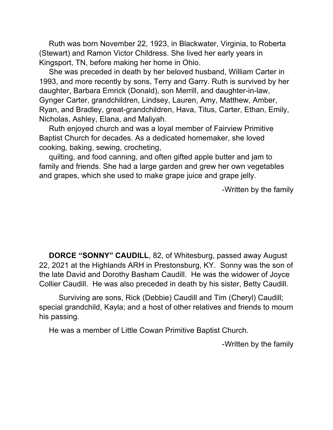Ruth was born November 22, 1923, in Blackwater, Virginia, to Roberta (Stewart) and Ramon Victor Childress. She lived her early years in Kingsport, TN, before making her home in Ohio.

She was preceded in death by her beloved husband, William Carter in 1993, and more recently by sons, Terry and Garry. Ruth is survived by her daughter, Barbara Emrick (Donald), son Merrill, and daughter-in-law, Gynger Carter, grandchildren, Lindsey, Lauren, Amy, Matthew, Amber, Ryan, and Bradley, great-grandchildren, Hava, Titus, Carter, Ethan, Emily, Nicholas, Ashley, Elana, and Maliyah.

Ruth enjoyed church and was a loyal member of Fairview Primitive Baptist Church for decades. As a dedicated homemaker, she loved cooking, baking, sewing, crocheting,

quilting, and food canning, and often gifted apple butter and jam to family and friends. She had a large garden and grew her own vegetables and grapes, which she used to make grape juice and grape jelly.

-Written by the family

**DORCE "SONNY" CAUDILL**, 82, of Whitesburg, passed away August 22, 2021 at the Highlands ARH in Prestonsburg, KY. Sonny was the son of the late David and Dorothy Basham Caudill. He was the widower of Joyce Collier Caudill. He was also preceded in death by his sister, Betty Caudill.

Surviving are sons, Rick (Debbie) Caudill and Tim (Cheryl) Caudill; special grandchild, Kayla; and a host of other relatives and friends to mourn his passing.

He was a member of Little Cowan Primitive Baptist Church.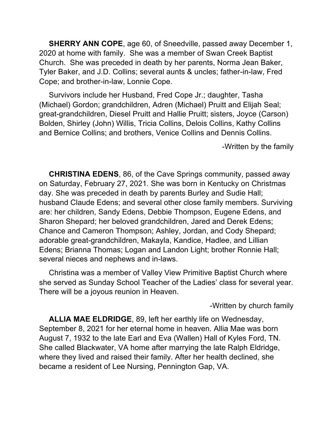**SHERRY ANN COPE**, age 60, of Sneedville, passed away December 1, 2020 at home with family. She was a member of Swan Creek Baptist Church. She was preceded in death by her parents, Norma Jean Baker, Tyler Baker, and J.D. Collins; several aunts & uncles; father-in-law, Fred Cope; and brother-in-law, Lonnie Cope.

Survivors include her Husband, Fred Cope Jr.; daughter, Tasha (Michael) Gordon; grandchildren, Adren (Michael) Pruitt and Elijah Seal; great-grandchildren, Diesel Pruitt and Hallie Pruitt; sisters, Joyce (Carson) Bolden, Shirley (John) Willis, Tricia Collins, Delois Collins, Kathy Collins and Bernice Collins; and brothers, Venice Collins and Dennis Collins.

-Written by the family

**CHRISTINA EDENS**, 86, of the Cave Springs community, passed away on Saturday, February 27, 2021. She was born in Kentucky on Christmas day. She was preceded in death by parents Burley and Sudie Hall; husband Claude Edens; and several other close family members. Surviving are: her children, Sandy Edens, Debbie Thompson, Eugene Edens, and Sharon Shepard; her beloved grandchildren, Jared and Derek Edens; Chance and Cameron Thompson; Ashley, Jordan, and Cody Shepard; adorable great-grandchildren, Makayla, Kandice, Hadlee, and Lillian Edens; Brianna Thomas; Logan and Landon Light; brother Ronnie Hall; several nieces and nephews and in-laws.

Christina was a member of Valley View Primitive Baptist Church where she served as Sunday School Teacher of the Ladies' class for several year. There will be a joyous reunion in Heaven.

-Written by church family

**ALLIA MAE ELDRIDGE**, 89, left her earthly life on Wednesday, September 8, 2021 for her eternal home in heaven. Allia Mae was born August 7, 1932 to the late Earl and Eva (Wallen) Hall of Kyles Ford, TN. She called Blackwater, VA home after marrying the late Ralph Eldridge, where they lived and raised their family. After her health declined, she became a resident of Lee Nursing, Pennington Gap, VA.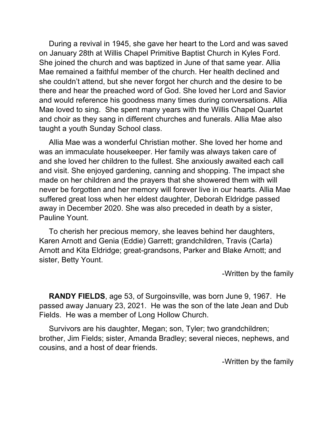During a revival in 1945, she gave her heart to the Lord and was saved on January 28th at Willis Chapel Primitive Baptist Church in Kyles Ford. She joined the church and was baptized in June of that same year. Allia Mae remained a faithful member of the church. Her health declined and she couldn't attend, but she never forgot her church and the desire to be there and hear the preached word of God. She loved her Lord and Savior and would reference his goodness many times during conversations. Allia Mae loved to sing. She spent many years with the Willis Chapel Quartet and choir as they sang in different churches and funerals. Allia Mae also taught a youth Sunday School class.

Allia Mae was a wonderful Christian mother. She loved her home and was an immaculate housekeeper. Her family was always taken care of and she loved her children to the fullest. She anxiously awaited each call and visit. She enjoyed gardening, canning and shopping. The impact she made on her children and the prayers that she showered them with will never be forgotten and her memory will forever live in our hearts. Allia Mae suffered great loss when her eldest daughter, Deborah Eldridge passed away in December 2020. She was also preceded in death by a sister, Pauline Yount.

To cherish her precious memory, she leaves behind her daughters, Karen Arnott and Genia (Eddie) Garrett; grandchildren, Travis (Carla) Arnott and Kita Eldridge; great-grandsons, Parker and Blake Arnott; and sister, Betty Yount.

-Written by the family

**RANDY FIELDS**, age 53, of Surgoinsville, was born June 9, 1967. He passed away January 23, 2021. He was the son of the late Jean and Dub Fields. He was a member of Long Hollow Church.

Survivors are his daughter, Megan; son, Tyler; two grandchildren; brother, Jim Fields; sister, Amanda Bradley; several nieces, nephews, and cousins, and a host of dear friends.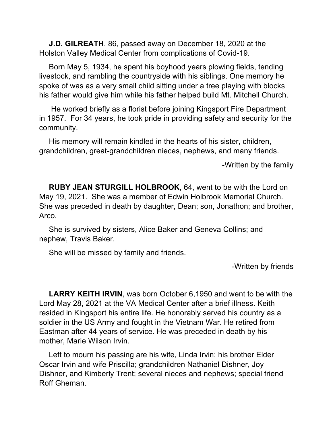**J.D. GILREATH**, 86, passed away on December 18, 2020 at the Holston Valley Medical Center from complications of Covid-19.

Born May 5, 1934, he spent his boyhood years plowing fields, tending livestock, and rambling the countryside with his siblings. One memory he spoke of was as a very small child sitting under a tree playing with blocks his father would give him while his father helped build Mt. Mitchell Church.

He worked briefly as a florist before joining Kingsport Fire Department in 1957. For 34 years, he took pride in providing safety and security for the community.

His memory will remain kindled in the hearts of his sister, children, grandchildren, great-grandchildren nieces, nephews, and many friends.

-Written by the family

**RUBY JEAN STURGILL HOLBROOK**, 64, went to be with the Lord on May 19, 2021. She was a member of Edwin Holbrook Memorial Church. She was preceded in death by daughter, Dean; son, Jonathon; and brother, Arco.

She is survived by sisters, Alice Baker and Geneva Collins; and nephew, Travis Baker.

She will be missed by family and friends.

-Written by friends

**LARRY KEITH IRVIN**, was born October 6,1950 and went to be with the Lord May 28, 2021 at the VA Medical Center after a brief illness. Keith resided in Kingsport his entire life. He honorably served his country as a soldier in the US Army and fought in the Vietnam War. He retired from Eastman after 44 years of service. He was preceded in death by his mother, Marie Wilson Irvin.

Left to mourn his passing are his wife, Linda Irvin; his brother Elder Oscar Irvin and wife Priscilla; grandchildren Nathaniel Dishner, Joy Dishner, and Kimberly Trent; several nieces and nephews; special friend Roff Gheman.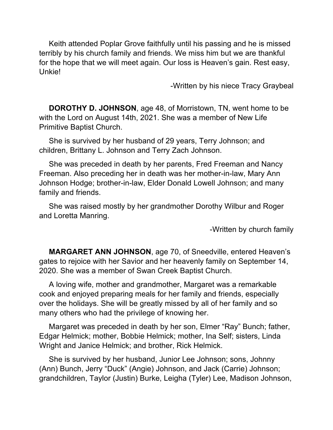Keith attended Poplar Grove faithfully until his passing and he is missed terribly by his church family and friends. We miss him but we are thankful for the hope that we will meet again. Our loss is Heaven's gain. Rest easy, Unkie!

-Written by his niece Tracy Graybeal

**DOROTHY D. JOHNSON**, age 48, of Morristown, TN, went home to be with the Lord on August 14th, 2021. She was a member of New Life Primitive Baptist Church.

She is survived by her husband of 29 years, Terry Johnson; and children, Brittany L. Johnson and Terry Zach Johnson.

She was preceded in death by her parents, Fred Freeman and Nancy Freeman. Also preceding her in death was her mother-in-law, Mary Ann Johnson Hodge; brother-in-law, Elder Donald Lowell Johnson; and many family and friends.

She was raised mostly by her grandmother Dorothy Wilbur and Roger and Loretta Manring.

-Written by church family

**MARGARET ANN JOHNSON**, age 70, of Sneedville, entered Heaven's gates to rejoice with her Savior and her heavenly family on September 14, 2020. She was a member of Swan Creek Baptist Church.

A loving wife, mother and grandmother, Margaret was a remarkable cook and enjoyed preparing meals for her family and friends, especially over the holidays. She will be greatly missed by all of her family and so many others who had the privilege of knowing her.

Margaret was preceded in death by her son, Elmer "Ray" Bunch; father, Edgar Helmick; mother, Bobbie Helmick; mother, Ina Self; sisters, Linda Wright and Janice Helmick; and brother, Rick Helmick.

She is survived by her husband, Junior Lee Johnson; sons, Johnny (Ann) Bunch, Jerry "Duck" (Angie) Johnson, and Jack (Carrie) Johnson; grandchildren, Taylor (Justin) Burke, Leigha (Tyler) Lee, Madison Johnson,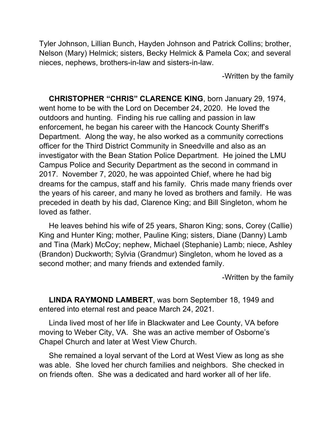Tyler Johnson, Lillian Bunch, Hayden Johnson and Patrick Collins; brother, Nelson (Mary) Helmick; sisters, Becky Helmick & Pamela Cox; and several nieces, nephews, brothers-in-law and sisters-in-law.

-Written by the family

**CHRISTOPHER "CHRIS" CLARENCE KING**, born January 29, 1974, went home to be with the Lord on December 24, 2020. He loved the outdoors and hunting. Finding his rue calling and passion in law enforcement, he began his career with the Hancock County Sheriff's Department. Along the way, he also worked as a community corrections officer for the Third District Community in Sneedville and also as an investigator with the Bean Station Police Department. He joined the LMU Campus Police and Security Department as the second in command in 2017. November 7, 2020, he was appointed Chief, where he had big dreams for the campus, staff and his family. Chris made many friends over the years of his career, and many he loved as brothers and family. He was preceded in death by his dad, Clarence King; and Bill Singleton, whom he loved as father.

He leaves behind his wife of 25 years, Sharon King; sons, Corey (Callie) King and Hunter King; mother, Pauline King; sisters, Diane (Danny) Lamb and Tina (Mark) McCoy; nephew, Michael (Stephanie) Lamb; niece, Ashley (Brandon) Duckworth; Sylvia (Grandmur) Singleton, whom he loved as a second mother; and many friends and extended family.

-Written by the family

**LINDA RAYMOND LAMBERT**, was born September 18, 1949 and entered into eternal rest and peace March 24, 2021.

Linda lived most of her life in Blackwater and Lee County, VA before moving to Weber City, VA. She was an active member of Osborne's Chapel Church and later at West View Church.

She remained a loyal servant of the Lord at West View as long as she was able. She loved her church families and neighbors. She checked in on friends often. She was a dedicated and hard worker all of her life.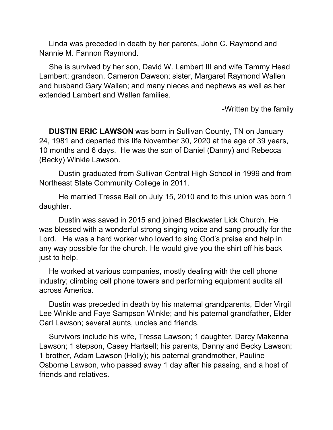Linda was preceded in death by her parents, John C. Raymond and Nannie M. Fannon Raymond.

She is survived by her son, David W. Lambert III and wife Tammy Head Lambert; grandson, Cameron Dawson; sister, Margaret Raymond Wallen and husband Gary Wallen; and many nieces and nephews as well as her extended Lambert and Wallen families.

-Written by the family

**DUSTIN ERIC LAWSON** was born in Sullivan County, TN on January 24, 1981 and departed this life November 30, 2020 at the age of 39 years, 10 months and 6 days. He was the son of Daniel (Danny) and Rebecca (Becky) Winkle Lawson.

Dustin graduated from Sullivan Central High School in 1999 and from Northeast State Community College in 2011.

He married Tressa Ball on July 15, 2010 and to this union was born 1 daughter.

Dustin was saved in 2015 and joined Blackwater Lick Church. He was blessed with a wonderful strong singing voice and sang proudly for the Lord. He was a hard worker who loved to sing God's praise and help in any way possible for the church. He would give you the shirt off his back just to help.

He worked at various companies, mostly dealing with the cell phone industry; climbing cell phone towers and performing equipment audits all across America.

Dustin was preceded in death by his maternal grandparents, Elder Virgil Lee Winkle and Faye Sampson Winkle; and his paternal grandfather, Elder Carl Lawson; several aunts, uncles and friends.

Survivors include his wife, Tressa Lawson; 1 daughter, Darcy Makenna Lawson; 1 stepson, Casey Hartsell; his parents, Danny and Becky Lawson; 1 brother, Adam Lawson (Holly); his paternal grandmother, Pauline Osborne Lawson, who passed away 1 day after his passing, and a host of friends and relatives.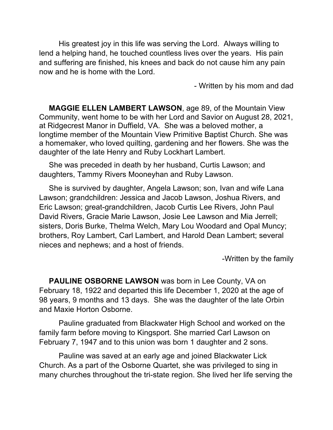His greatest joy in this life was serving the Lord. Always willing to lend a helping hand, he touched countless lives over the years. His pain and suffering are finished, his knees and back do not cause him any pain now and he is home with the Lord.

- Written by his mom and dad

**MAGGIE ELLEN LAMBERT LAWSON**, age 89, of the Mountain View Community, went home to be with her Lord and Savior on August 28, 2021, at Ridgecrest Manor in Duffield, VA. She was a beloved mother, a longtime member of the Mountain View Primitive Baptist Church. She was a homemaker, who loved quilting, gardening and her flowers. She was the daughter of the late Henry and Ruby Lockhart Lambert.

She was preceded in death by her husband, Curtis Lawson; and daughters, Tammy Rivers Mooneyhan and Ruby Lawson.

She is survived by daughter, Angela Lawson; son, Ivan and wife Lana Lawson; grandchildren: Jessica and Jacob Lawson, Joshua Rivers, and Eric Lawson; great-grandchildren, Jacob Curtis Lee Rivers, John Paul David Rivers, Gracie Marie Lawson, Josie Lee Lawson and Mia Jerrell; sisters, Doris Burke, Thelma Welch, Mary Lou Woodard and Opal Muncy; brothers, Roy Lambert, Carl Lambert, and Harold Dean Lambert; several nieces and nephews; and a host of friends.

-Written by the family

**PAULINE OSBORNE LAWSON** was born in Lee County, VA on February 18, 1922 and departed this life December 1, 2020 at the age of 98 years, 9 months and 13 days. She was the daughter of the late Orbin and Maxie Horton Osborne.

Pauline graduated from Blackwater High School and worked on the family farm before moving to Kingsport. She married Carl Lawson on February 7, 1947 and to this union was born 1 daughter and 2 sons.

Pauline was saved at an early age and joined Blackwater Lick Church. As a part of the Osborne Quartet, she was privileged to sing in many churches throughout the tri-state region. She lived her life serving the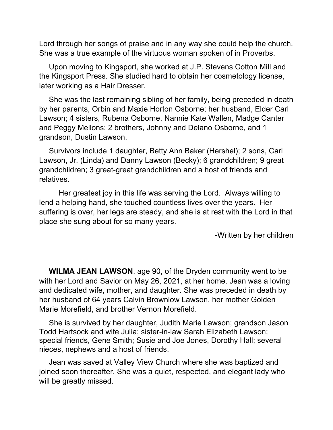Lord through her songs of praise and in any way she could help the church. She was a true example of the virtuous woman spoken of in Proverbs.

Upon moving to Kingsport, she worked at J.P. Stevens Cotton Mill and the Kingsport Press. She studied hard to obtain her cosmetology license, later working as a Hair Dresser.

She was the last remaining sibling of her family, being preceded in death by her parents, Orbin and Maxie Horton Osborne; her husband, Elder Carl Lawson; 4 sisters, Rubena Osborne, Nannie Kate Wallen, Madge Canter and Peggy Mellons; 2 brothers, Johnny and Delano Osborne, and 1 grandson, Dustin Lawson.

Survivors include 1 daughter, Betty Ann Baker (Hershel); 2 sons, Carl Lawson, Jr. (Linda) and Danny Lawson (Becky); 6 grandchildren; 9 great grandchildren; 3 great-great grandchildren and a host of friends and relatives.

Her greatest joy in this life was serving the Lord. Always willing to lend a helping hand, she touched countless lives over the years. Her suffering is over, her legs are steady, and she is at rest with the Lord in that place she sung about for so many years.

-Written by her children

**WILMA JEAN LAWSON**, age 90, of the Dryden community went to be with her Lord and Savior on May 26, 2021, at her home. Jean was a loving and dedicated wife, mother, and daughter. She was preceded in death by her husband of 64 years Calvin Brownlow Lawson, her mother Golden Marie Morefield, and brother Vernon Morefield.

She is survived by her daughter, Judith Marie Lawson; grandson Jason Todd Hartsock and wife Julia; sister-in-law Sarah Elizabeth Lawson; special friends, Gene Smith; Susie and Joe Jones, Dorothy Hall; several nieces, nephews and a host of friends.

Jean was saved at Valley View Church where she was baptized and joined soon thereafter. She was a quiet, respected, and elegant lady who will be greatly missed.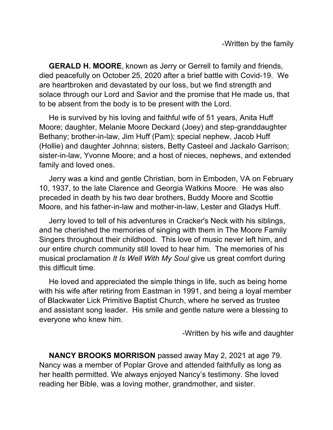**GERALD H. MOORE**, known as Jerry or Gerrell to family and friends, died peacefully on October 25, 2020 after a brief battle with Covid-19. We are heartbroken and devastated by our loss, but we find strength and solace through our Lord and Savior and the promise that He made us, that to be absent from the body is to be present with the Lord.

He is survived by his loving and faithful wife of 51 years, Anita Huff Moore; daughter, Melanie Moore Deckard (Joey) and step-granddaughter Bethany; brother-in-law, Jim Huff (Pam); special nephew, Jacob Huff (Hollie) and daughter Johnna; sisters, Betty Casteel and Jackalo Garrison; sister-in-law, Yvonne Moore; and a host of nieces, nephews, and extended family and loved ones.

Jerry was a kind and gentle Christian, born in Emboden, VA on February 10, 1937, to the late Clarence and Georgia Watkins Moore. He was also preceded in death by his two dear brothers, Buddy Moore and Scottie Moore, and his father-in-law and mother-in-law, Lester and Gladys Huff.

Jerry loved to tell of his adventures in Cracker's Neck with his siblings, and he cherished the memories of singing with them in The Moore Family Singers throughout their childhood. This love of music never left him, and our entire church community still loved to hear him. The memories of his musical proclamation *It Is Well With My Soul* give us great comfort during this difficult time.

He loved and appreciated the simple things in life, such as being home with his wife after retiring from Eastman in 1991, and being a loyal member of Blackwater Lick Primitive Baptist Church, where he served as trustee and assistant song leader. His smile and gentle nature were a blessing to everyone who knew him.

-Written by his wife and daughter

**NANCY BROOKS MORRISON** passed away May 2, 2021 at age 79. Nancy was a member of Poplar Grove and attended faithfully as long as her health permitted. We always enjoyed Nancy's testimony. She loved reading her Bible, was a loving mother, grandmother, and sister.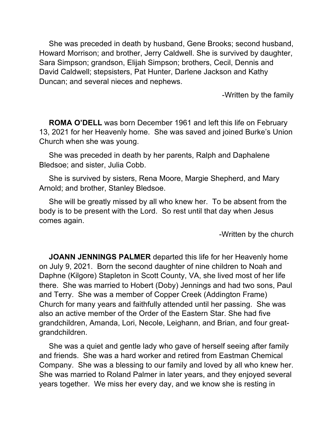She was preceded in death by husband, Gene Brooks; second husband, Howard Morrison; and brother, Jerry Caldwell. She is survived by daughter, Sara Simpson; grandson, Elijah Simpson; brothers, Cecil, Dennis and David Caldwell; stepsisters, Pat Hunter, Darlene Jackson and Kathy Duncan; and several nieces and nephews.

-Written by the family

**ROMA O'DELL** was born December 1961 and left this life on February 13, 2021 for her Heavenly home. She was saved and joined Burke's Union Church when she was young.

She was preceded in death by her parents, Ralph and Daphalene Bledsoe; and sister, Julia Cobb.

She is survived by sisters, Rena Moore, Margie Shepherd, and Mary Arnold; and brother, Stanley Bledsoe.

She will be greatly missed by all who knew her. To be absent from the body is to be present with the Lord. So rest until that day when Jesus comes again.

-Written by the church

**JOANN JENNINGS PALMER** departed this life for her Heavenly home on July 9, 2021. Born the second daughter of nine children to Noah and Daphne (Kilgore) Stapleton in Scott County, VA, she lived most of her life there. She was married to Hobert (Doby) Jennings and had two sons, Paul and Terry. She was a member of Copper Creek (Addington Frame) Church for many years and faithfully attended until her passing. She was also an active member of the Order of the Eastern Star. She had five grandchildren, Amanda, Lori, Necole, Leighann, and Brian, and four greatgrandchildren.

She was a quiet and gentle lady who gave of herself seeing after family and friends. She was a hard worker and retired from Eastman Chemical Company. She was a blessing to our family and loved by all who knew her. She was married to Roland Palmer in later years, and they enjoyed several years together. We miss her every day, and we know she is resting in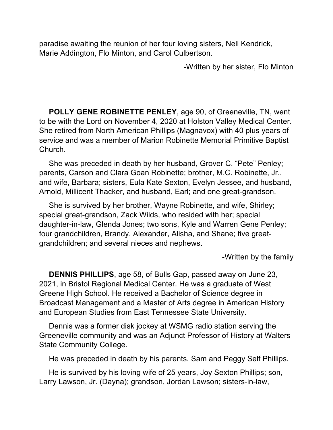paradise awaiting the reunion of her four loving sisters, Nell Kendrick, Marie Addington, Flo Minton, and Carol Culbertson.

-Written by her sister, Flo Minton

**POLLY GENE ROBINETTE PENLEY**, age 90, of Greeneville, TN, went to be with the Lord on November 4, 2020 at Holston Valley Medical Center. She retired from North American Phillips (Magnavox) with 40 plus years of service and was a member of Marion Robinette Memorial Primitive Baptist Church.

She was preceded in death by her husband, Grover C. "Pete" Penley; parents, Carson and Clara Goan Robinette; brother, M.C. Robinette, Jr., and wife, Barbara; sisters, Eula Kate Sexton, Evelyn Jessee, and husband, Arnold, Millicent Thacker, and husband, Earl; and one great-grandson.

She is survived by her brother, Wayne Robinette, and wife, Shirley; special great-grandson, Zack Wilds, who resided with her; special daughter-in-law, Glenda Jones; two sons, Kyle and Warren Gene Penley; four grandchildren, Brandy, Alexander, Alisha, and Shane; five greatgrandchildren; and several nieces and nephews.

-Written by the family

**DENNIS PHILLIPS**, age 58, of Bulls Gap, passed away on June 23, 2021, in Bristol Regional Medical Center. He was a graduate of West Greene High School. He received a Bachelor of Science degree in Broadcast Management and a Master of Arts degree in American History and European Studies from East Tennessee State University.

Dennis was a former disk jockey at WSMG radio station serving the Greeneville community and was an Adjunct Professor of History at Walters State Community College.

He was preceded in death by his parents, Sam and Peggy Self Phillips.

He is survived by his loving wife of 25 years, Joy Sexton Phillips; son, Larry Lawson, Jr. (Dayna); grandson, Jordan Lawson; sisters-in-law,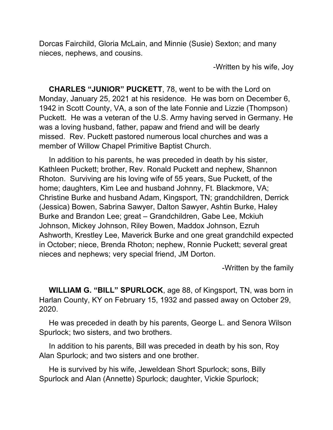Dorcas Fairchild, Gloria McLain, and Minnie (Susie) Sexton; and many nieces, nephews, and cousins.

-Written by his wife, Joy

**CHARLES "JUNIOR" PUCKETT**, 78, went to be with the Lord on Monday, January 25, 2021 at his residence. He was born on December 6, 1942 in Scott County, VA, a son of the late Fonnie and Lizzie (Thompson) Puckett. He was a veteran of the U.S. Army having served in Germany. He was a loving husband, father, papaw and friend and will be dearly missed. Rev. Puckett pastored numerous local churches and was a member of Willow Chapel Primitive Baptist Church.

In addition to his parents, he was preceded in death by his sister, Kathleen Puckett; brother, Rev. Ronald Puckett and nephew, Shannon Rhoton. Surviving are his loving wife of 55 years, Sue Puckett, of the home; daughters, Kim Lee and husband Johnny, Ft. Blackmore, VA; Christine Burke and husband Adam, Kingsport, TN; grandchildren, Derrick (Jessica) Bowen, Sabrina Sawyer, Dalton Sawyer, Ashtin Burke, Haley Burke and Brandon Lee; great – Grandchildren, Gabe Lee, Mckiuh Johnson, Mickey Johnson, Riley Bowen, Maddox Johnson, Ezruh Ashworth, Krestley Lee, Maverick Burke and one great grandchild expected in October; niece, Brenda Rhoton; nephew, Ronnie Puckett; several great nieces and nephews; very special friend, JM Dorton.

-Written by the family

**WILLIAM G. "BILL" SPURLOCK**, age 88, of Kingsport, TN, was born in Harlan County, KY on February 15, 1932 and passed away on October 29, 2020.

He was preceded in death by his parents, George L. and Senora Wilson Spurlock; two sisters, and two brothers.

In addition to his parents, Bill was preceded in death by his son, Roy Alan Spurlock; and two sisters and one brother.

He is survived by his wife, Jeweldean Short Spurlock; sons, Billy Spurlock and Alan (Annette) Spurlock; daughter, Vickie Spurlock;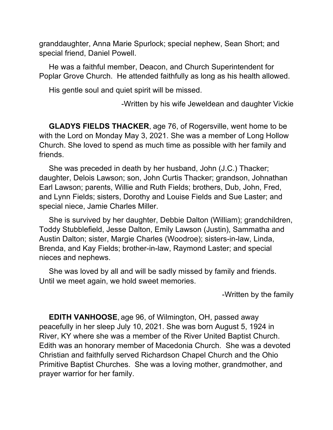granddaughter, Anna Marie Spurlock; special nephew, Sean Short; and special friend, Daniel Powell.

He was a faithful member, Deacon, and Church Superintendent for Poplar Grove Church. He attended faithfully as long as his health allowed.

His gentle soul and quiet spirit will be missed.

-Written by his wife Jeweldean and daughter Vickie

**GLADYS FIELDS THACKER**, age 76, of Rogersville, went home to be with the Lord on Monday May 3, 2021. She was a member of Long Hollow Church. She loved to spend as much time as possible with her family and friends.

She was preceded in death by her husband, John (J.C.) Thacker; daughter, Delois Lawson; son, John Curtis Thacker; grandson, Johnathan Earl Lawson; parents, Willie and Ruth Fields; brothers, Dub, John, Fred, and Lynn Fields; sisters, Dorothy and Louise Fields and Sue Laster; and special niece, Jamie Charles Miller.

She is survived by her daughter, Debbie Dalton (William); grandchildren, Toddy Stubblefield, Jesse Dalton, Emily Lawson (Justin), Sammatha and Austin Dalton; sister, Margie Charles (Woodroe); sisters-in-law, Linda, Brenda, and Kay Fields; brother-in-law, Raymond Laster; and special nieces and nephews.

She was loved by all and will be sadly missed by family and friends. Until we meet again, we hold sweet memories.

-Written by the family

**EDITH VANHOOSE**, age 96, of Wilmington, OH, passed away peacefully in her sleep July 10, 2021. She was born August 5, 1924 in River, KY where she was a member of the River United Baptist Church. Edith was an honorary member of Macedonia Church. She was a devoted Christian and faithfully served Richardson Chapel Church and the Ohio Primitive Baptist Churches. She was a loving mother, grandmother, and prayer warrior for her family.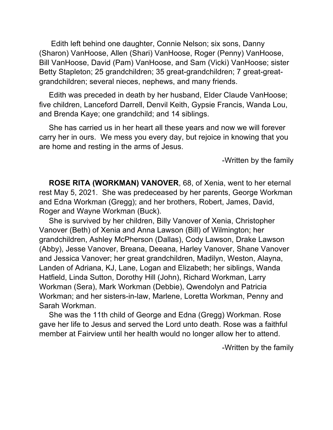Edith left behind one daughter, Connie Nelson; six sons, Danny (Sharon) VanHoose, Allen (Shari) VanHoose, Roger (Penny) VanHoose, Bill VanHoose, David (Pam) VanHoose, and Sam (Vicki) VanHoose; sister Betty Stapleton; 25 grandchildren; 35 great-grandchildren; 7 great-greatgrandchildren; several nieces, nephews, and many friends.

Edith was preceded in death by her husband, Elder Claude VanHoose; five children, Lanceford Darrell, Denvil Keith, Gypsie Francis, Wanda Lou, and Brenda Kaye; one grandchild; and 14 siblings.

She has carried us in her heart all these years and now we will forever carry her in ours. We mess you every day, but rejoice in knowing that you are home and resting in the arms of Jesus.

-Written by the family

**ROSE RITA (WORKMAN) VANOVER**, 68, of Xenia, went to her eternal rest May 5, 2021. She was predeceased by her parents, George Workman and Edna Workman (Gregg); and her brothers, Robert, James, David, Roger and Wayne Workman (Buck).

She is survived by her children, Billy Vanover of Xenia, Christopher Vanover (Beth) of Xenia and Anna Lawson (Bill) of Wilmington; her grandchildren, Ashley McPherson (Dallas), Cody Lawson, Drake Lawson (Abby), Jesse Vanover, Breana, Deeana, Harley Vanover, Shane Vanover and Jessica Vanover; her great grandchildren, Madilyn, Weston, Alayna, Landen of Adriana, KJ, Lane, Logan and Elizabeth; her siblings, Wanda Hatfield, Linda Sutton, Dorothy Hill (John), Richard Workman, Larry Workman (Sera), Mark Workman (Debbie), Qwendolyn and Patricia Workman; and her sisters-in-law, Marlene, Loretta Workman, Penny and Sarah Workman.

She was the 11th child of George and Edna (Gregg) Workman. Rose gave her life to Jesus and served the Lord unto death. Rose was a faithful member at Fairview until her health would no longer allow her to attend.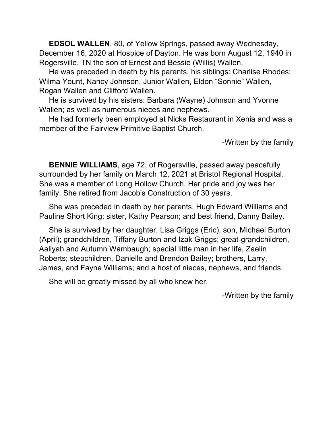**EDSOL WALLEN**, 80, of Yellow Springs, passed away Wednesday, December 16, 2020 at Hospice of Dayton. He was born August 12, 1940 in Rogersville, TN the son of Ernest and Bessie (Willis) Wallen.

He was preceded in death by his parents, his siblings: Charlise Rhodes; Wilma Yount, Nancy Johnson, Junior Wallen, Eldon "Sonnie" Wallen, Rogan Wallen and Clifford Wallen.

He is survived by his sisters: Barbara (Wayne) Johnson and Yvonne Wallen; as well as numerous nieces and nephews.

He had formerly been employed at Nicks Restaurant in Xenia and was a member of the Fairview Primitive Baptist Church.

-Written by the family

**BENNIE WILLIAMS**, age 72, of Rogersville, passed away peacefully surrounded by her family on March 12, 2021 at Bristol Regional Hospital. She was a member of Long Hollow Church. Her pride and joy was her family. She retired from Jacob's Construction of 30 years.

She was preceded in death by her parents, Hugh Edward Williams and Pauline Short King; sister, Kathy Pearson; and best friend, Danny Bailey.

She is survived by her daughter, Lisa Griggs (Eric); son, Michael Burton (April); grandchildren, Tiffany Burton and Izak Griggs; great-grandchildren, Aaliyah and Autumn Wambaugh; special little man in her life, Zaelin Roberts; stepchildren, Danielle and Brendon Bailey; brothers, Larry, James, and Fayne Williams; and a host of nieces, nephews, and friends.

She will be greatly missed by all who knew her.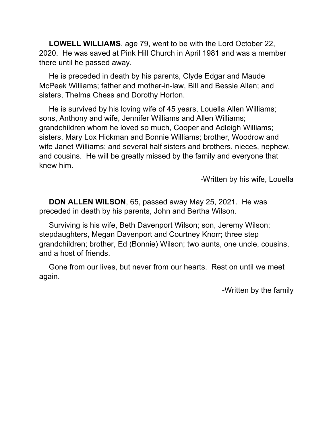**LOWELL WILLIAMS**, age 79, went to be with the Lord October 22, 2020. He was saved at Pink Hill Church in April 1981 and was a member there until he passed away.

He is preceded in death by his parents, Clyde Edgar and Maude McPeek Williams; father and mother-in-law, Bill and Bessie Allen; and sisters, Thelma Chess and Dorothy Horton.

He is survived by his loving wife of 45 years, Louella Allen Williams; sons, Anthony and wife, Jennifer Williams and Allen Williams; grandchildren whom he loved so much, Cooper and Adleigh Williams; sisters, Mary Lox Hickman and Bonnie Williams; brother, Woodrow and wife Janet Williams; and several half sisters and brothers, nieces, nephew, and cousins. He will be greatly missed by the family and everyone that knew him.

-Written by his wife, Louella

**DON ALLEN WILSON**, 65, passed away May 25, 2021. He was preceded in death by his parents, John and Bertha Wilson.

Surviving is his wife, Beth Davenport Wilson; son, Jeremy Wilson; stepdaughters, Megan Davenport and Courtney Knorr; three step grandchildren; brother, Ed (Bonnie) Wilson; two aunts, one uncle, cousins, and a host of friends.

Gone from our lives, but never from our hearts. Rest on until we meet again.